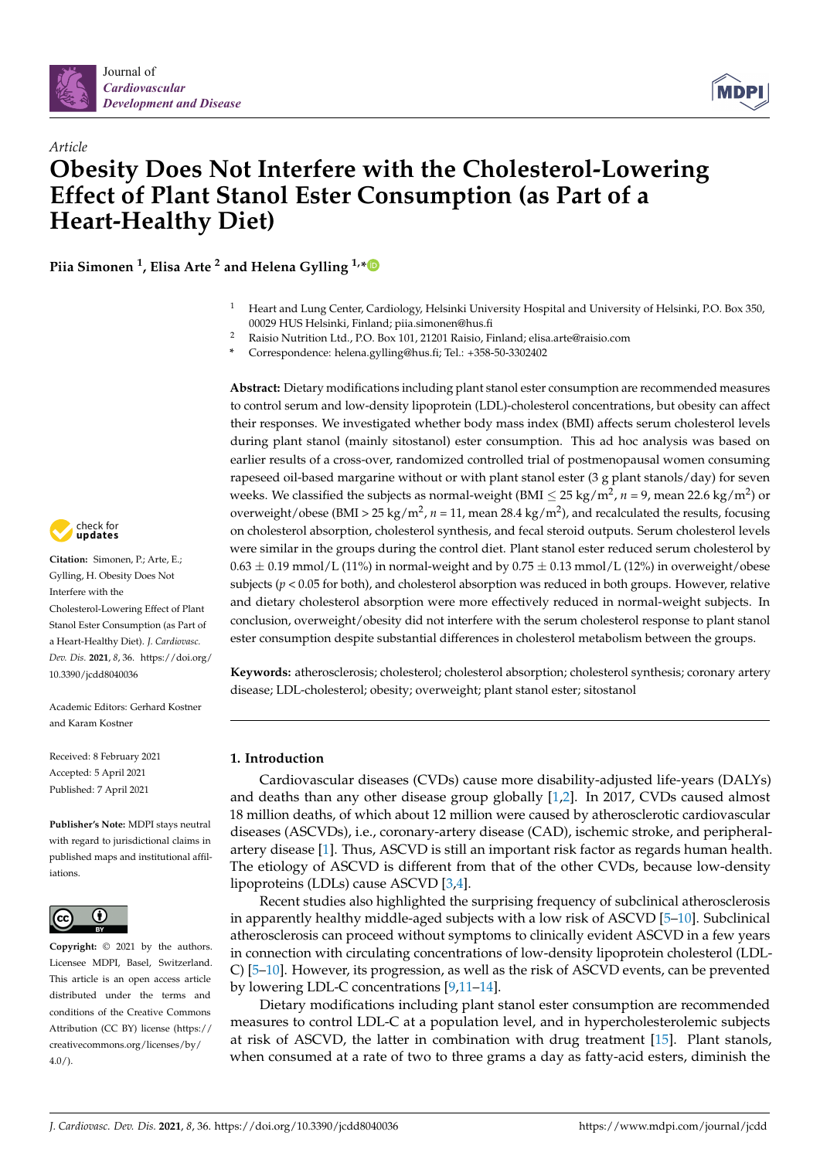



# *Article* **Obesity Does Not Interfere with the Cholesterol-Lowering Effect of Plant Stanol Ester Consumption (as Part of a Heart-Healthy Diet)**

**Piia Simonen <sup>1</sup> , Elisa Arte <sup>2</sup> and Helena Gylling 1,[\\*](https://orcid.org/0000-0003-4586-8367)**

- <sup>1</sup> Heart and Lung Center, Cardiology, Helsinki University Hospital and University of Helsinki, P.O. Box 350, 00029 HUS Helsinki, Finland; piia.simonen@hus.fi
- <sup>2</sup> Raisio Nutrition Ltd., P.O. Box 101, 21201 Raisio, Finland; elisa.arte@raisio.com
- **\*** Correspondence: helena.gylling@hus.fi; Tel.: +358-50-3302402

**Abstract:** Dietary modifications including plant stanol ester consumption are recommended measures to control serum and low-density lipoprotein (LDL)-cholesterol concentrations, but obesity can affect their responses. We investigated whether body mass index (BMI) affects serum cholesterol levels during plant stanol (mainly sitostanol) ester consumption. This ad hoc analysis was based on earlier results of a cross-over, randomized controlled trial of postmenopausal women consuming rapeseed oil-based margarine without or with plant stanol ester (3 g plant stanols/day) for seven weeks. We classified the subjects as normal-weight (BMI  $\leq$  25 kg/m<sup>2</sup>, *n* = 9, mean 22.6 kg/m<sup>2</sup>) or overweight/obese (BMI > 25 kg/m<sup>2</sup>, n = 11, mean 28.4 kg/m<sup>2</sup>), and recalculated the results, focusing on cholesterol absorption, cholesterol synthesis, and fecal steroid outputs. Serum cholesterol levels were similar in the groups during the control diet. Plant stanol ester reduced serum cholesterol by  $0.63 \pm 0.19$  mmol/L (11%) in normal-weight and by  $0.75 \pm 0.13$  mmol/L (12%) in overweight/obese subjects ( $p < 0.05$  for both), and cholesterol absorption was reduced in both groups. However, relative and dietary cholesterol absorption were more effectively reduced in normal-weight subjects. In conclusion, overweight/obesity did not interfere with the serum cholesterol response to plant stanol ester consumption despite substantial differences in cholesterol metabolism between the groups.

**Keywords:** atherosclerosis; cholesterol; cholesterol absorption; cholesterol synthesis; coronary artery disease; LDL-cholesterol; obesity; overweight; plant stanol ester; sitostanol

# **1. Introduction**

Cardiovascular diseases (CVDs) cause more disability-adjusted life-years (DALYs) and deaths than any other disease group globally [\[1](#page-8-0)[,2\]](#page-8-1). In 2017, CVDs caused almost 18 million deaths, of which about 12 million were caused by atherosclerotic cardiovascular diseases (ASCVDs), i.e., coronary-artery disease (CAD), ischemic stroke, and peripheralartery disease [\[1\]](#page-8-0). Thus, ASCVD is still an important risk factor as regards human health. The etiology of ASCVD is different from that of the other CVDs, because low-density lipoproteins (LDLs) cause ASCVD [\[3](#page-8-2)[,4\]](#page-8-3).

Recent studies also highlighted the surprising frequency of subclinical atherosclerosis in apparently healthy middle-aged subjects with a low risk of ASCVD [\[5](#page-8-4)[–10\]](#page-8-5). Subclinical atherosclerosis can proceed without symptoms to clinically evident ASCVD in a few years in connection with circulating concentrations of low-density lipoprotein cholesterol (LDL-C) [\[5](#page-8-4)[–10\]](#page-8-5). However, its progression, as well as the risk of ASCVD events, can be prevented by lowering LDL-C concentrations [\[9](#page-8-6)[,11](#page-8-7)[–14\]](#page-9-0).

Dietary modifications including plant stanol ester consumption are recommended measures to control LDL-C at a population level, and in hypercholesterolemic subjects at risk of ASCVD, the latter in combination with drug treatment [\[15\]](#page-9-1). Plant stanols, when consumed at a rate of two to three grams a day as fatty-acid esters, diminish the



**Citation:** Simonen, P.; Arte, E.; Gylling, H. Obesity Does Not Interfere with the Cholesterol-Lowering Effect of Plant Stanol Ester Consumption (as Part of a Heart-Healthy Diet). *J. Cardiovasc. Dev. Dis.* **2021**, *8*, 36. [https://doi.org/](https://doi.org/10.3390/jcdd8040036) [10.3390/jcdd8040036](https://doi.org/10.3390/jcdd8040036)

Academic Editors: Gerhard Kostner and Karam Kostner

Received: 8 February 2021 Accepted: 5 April 2021 Published: 7 April 2021

**Publisher's Note:** MDPI stays neutral with regard to jurisdictional claims in published maps and institutional affiliations.



**Copyright:** © 2021 by the authors. Licensee MDPI, Basel, Switzerland. This article is an open access article distributed under the terms and conditions of the Creative Commons Attribution (CC BY) license (https:/[/](https://creativecommons.org/licenses/by/4.0/) [creativecommons.org/licenses/by/](https://creativecommons.org/licenses/by/4.0/)  $4.0/$ ).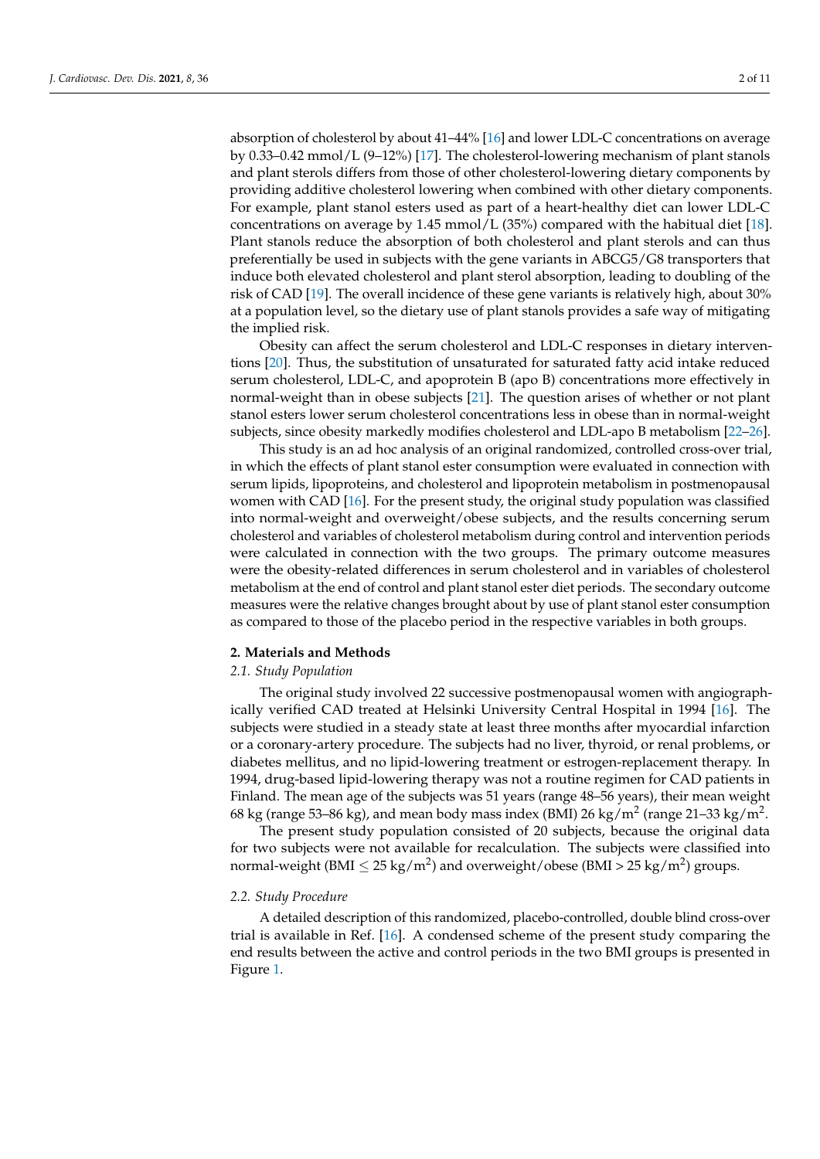absorption of cholesterol by about 41–44% [\[16\]](#page-9-2) and lower LDL-C concentrations on average by 0.33–0.42 mmol/L (9–12%) [\[17\]](#page-9-3). The cholesterol-lowering mechanism of plant stanols and plant sterols differs from those of other cholesterol-lowering dietary components by providing additive cholesterol lowering when combined with other dietary components. For example, plant stanol esters used as part of a heart-healthy diet can lower LDL-C concentrations on average by 1.45 mmol/L (35%) compared with the habitual diet [\[18\]](#page-9-4). Plant stanols reduce the absorption of both cholesterol and plant sterols and can thus preferentially be used in subjects with the gene variants in ABCG5/G8 transporters that induce both elevated cholesterol and plant sterol absorption, leading to doubling of the risk of CAD [\[19\]](#page-9-5). The overall incidence of these gene variants is relatively high, about 30% at a population level, so the dietary use of plant stanols provides a safe way of mitigating the implied risk.

Obesity can affect the serum cholesterol and LDL-C responses in dietary interventions [\[20\]](#page-9-6). Thus, the substitution of unsaturated for saturated fatty acid intake reduced serum cholesterol, LDL-C, and apoprotein B (apo B) concentrations more effectively in normal-weight than in obese subjects [\[21\]](#page-9-7). The question arises of whether or not plant stanol esters lower serum cholesterol concentrations less in obese than in normal-weight subjects, since obesity markedly modifies cholesterol and LDL-apo B metabolism [\[22](#page-9-8)[–26\]](#page-9-9).

This study is an ad hoc analysis of an original randomized, controlled cross-over trial, in which the effects of plant stanol ester consumption were evaluated in connection with serum lipids, lipoproteins, and cholesterol and lipoprotein metabolism in postmenopausal women with CAD  $[16]$ . For the present study, the original study population was classified into normal-weight and overweight/obese subjects, and the results concerning serum cholesterol and variables of cholesterol metabolism during control and intervention periods were calculated in connection with the two groups. The primary outcome measures were the obesity-related differences in serum cholesterol and in variables of cholesterol metabolism at the end of control and plant stanol ester diet periods. The secondary outcome measures were the relative changes brought about by use of plant stanol ester consumption as compared to those of the placebo period in the respective variables in both groups.

# **2. Materials and Methods**

## *2.1. Study Population*

The original study involved 22 successive postmenopausal women with angiographically verified CAD treated at Helsinki University Central Hospital in 1994 [\[16\]](#page-9-2). The subjects were studied in a steady state at least three months after myocardial infarction or a coronary-artery procedure. The subjects had no liver, thyroid, or renal problems, or diabetes mellitus, and no lipid-lowering treatment or estrogen-replacement therapy. In 1994, drug-based lipid-lowering therapy was not a routine regimen for CAD patients in Finland. The mean age of the subjects was 51 years (range 48–56 years), their mean weight 68 kg (range 53–86 kg), and mean body mass index (BMI) 26 kg/m $^2$  (range 21–33 kg/m $^2$ .

The present study population consisted of 20 subjects, because the original data for two subjects were not available for recalculation. The subjects were classified into normal-weight (BMI  $\leq$  25 kg/m<sup>2</sup>) and overweight/obese (BMI > 25 kg/m<sup>2</sup>) groups.

## *2.2. Study Procedure*

A detailed description of this randomized, placebo-controlled, double blind cross-over trial is available in Ref. [\[16\]](#page-9-2). A condensed scheme of the present study comparing the end results between the active and control periods in the two BMI groups is presented in Figure [1.](#page-2-0)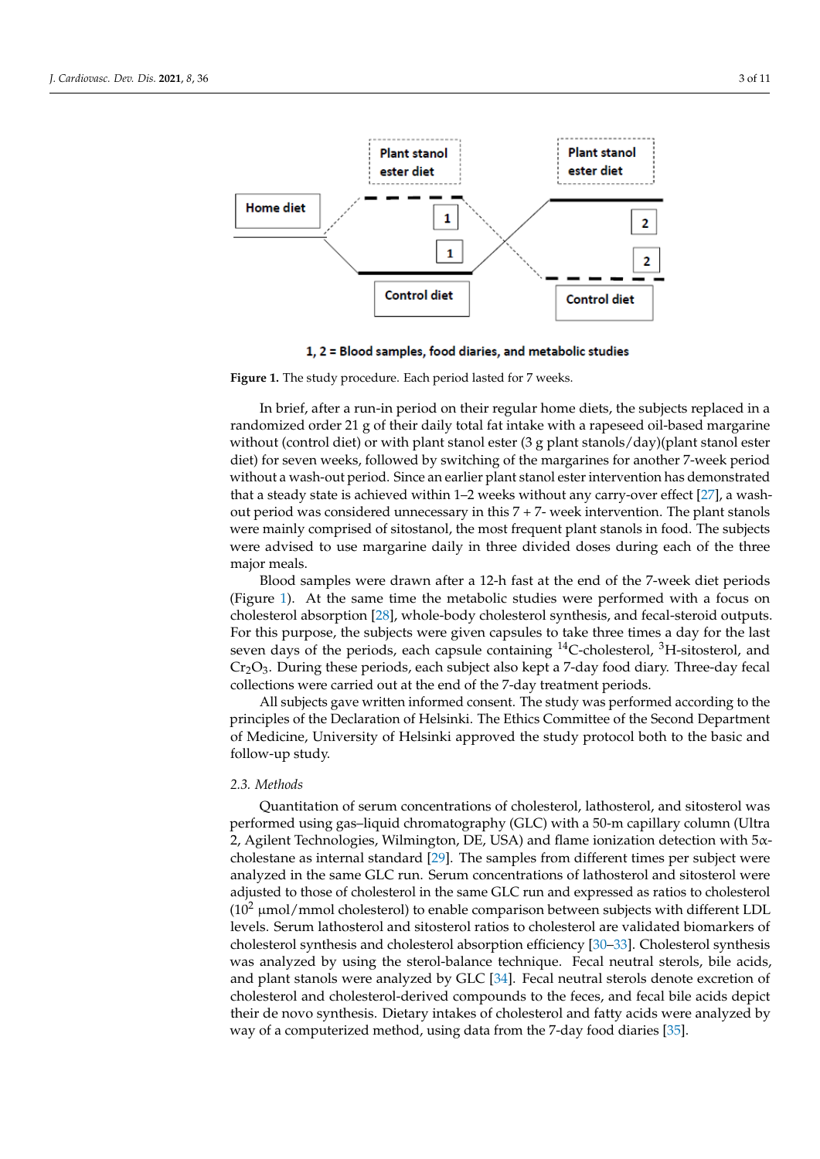<span id="page-2-0"></span>

1, 2 = Blood samples, food diaries, and metabolic studies

**Figure 1.** The study procedure. Each period lasted for 7 weeks. **Figure 1.** The study procedure. Each period lasted for 7 weeks.

In brief, after a run-in period on their regular home diets, the subjects replaced in a In brief, after a run-in period on their regular home diets, the subjects replaced in a randomized order 21 g of their daily total fat intake with a rapeseed oil-based margarine randomized order 21 g of their daily total fat intake with a rapeseed oil-based margarine without (control diet) or with plant stanol ester (3 g plant stanols/day)(plant stanol ester diet) for seven weeks, followed by switching of the margarines for another 7-week period diet) for seven weeks, followed by switching of the margarines for another 7-week period without a wash-out period. Since an earlier plant stanol ester intervention has demonstrated<br>without a wash-out period. Since an earlier plant stanol ester intervention has demonstrated that a steady state is achieved within 1–2 weeks without any carry-over effect [\[27\]](#page-9-10), a washout period was considered unnecessary in this  $7 + 7$ - week intervention. The plant stanols were mainly comprised of sitostanol, the most frequent plant stanols in food. The subjects were mainly comprised of sitostanol, the most frequent plant stanols in food. The subjects were advised to use margarine daily in three divided doses during each of the three materials. major meals.

najor meals.<br>Blood samples were drawn after a 12-h fast at the end of the 7-week diet periods Blood samples were drawn after a 12-h fast at the end of the 7-week diet periods (Figure [1\)](#page-2-0). At the same time the metabolic studies were performed with a focus on (Figure 1). At the same time the metabolic studies were performed with a focus on choles-cholesterol absorption [\[28\]](#page-9-11), whole-body cholesterol synthesis, and fecal-steroid outputs. Entertation absorption [28], whole-body cholesterol synthesis, and recal-steroid outputs. For this purpose, the subjects were given capsules to take three times a day for the last seven days of the periods, each capsule containing <sup>14</sup>C-cholesterol, <sup>3</sup>H-sitosterol, and of the periods, each capsule containing 14C-cholesterol, 3H-sitosterol, and Cr2O3. During Cr2O3. During these periods, each subject also kept a 7-day food diary. Three-day fecal  $\frac{1}{2}$  collections were carried out at the end of the 7-day treatment periods.

All subjects gave written informed consent. The study was performed according to the principles of the Declaration of Helsinki. The Ethics Committee of the Second Department of Medicine, University of Helsinki approved the study protocol both to the basic and follow-up study.  $\mathbf{r}$  study.

### *2.3. Methods*

Quantitation of serum concentrations of cholesterol, lathosterol, and sitosterol was performed using gas-liquid chromatography (GLC) with a 50-m capillary column (Ultra 2, Agilent Technologies, Wilmington, DE, USA) and flame ionization detection with 5αcholestane as internal standard [29]. The samples from different times per subject were analyzed in the same GLC run. Serum concentrations of lathosterol and sitosterol were adjusted to those of cholesterol in the same GLC run and expressed as ratios to cholesterol  $(10^2 \mu$ mol/mmol cholesterol) to enable comparison between subjects with different LDL levels. Serum lathosterol and sitosterol ratios to cholesterol are validated biomarkers of cholesterol synthesis and cholesterol absorption efficiency [\[30–](#page-9-13)[33\]](#page-9-14). Cholesterol synthesis was analyzed by using the sterol-balance technique. Fecal neutral sterols, bile acids, and plant stanols were analyzed by GLC [\[34\]](#page-9-15). Fecal neutral sterols denote excretion of cholesterol and cholesterol-derived compounds to the feces, and fecal bile acids depict their de novo synthesis. Dietary intakes of cholesterol and fatty acids were analyzed by way of a computerized method, using data from the 7-day food diaries [\[35\]](#page-9-16).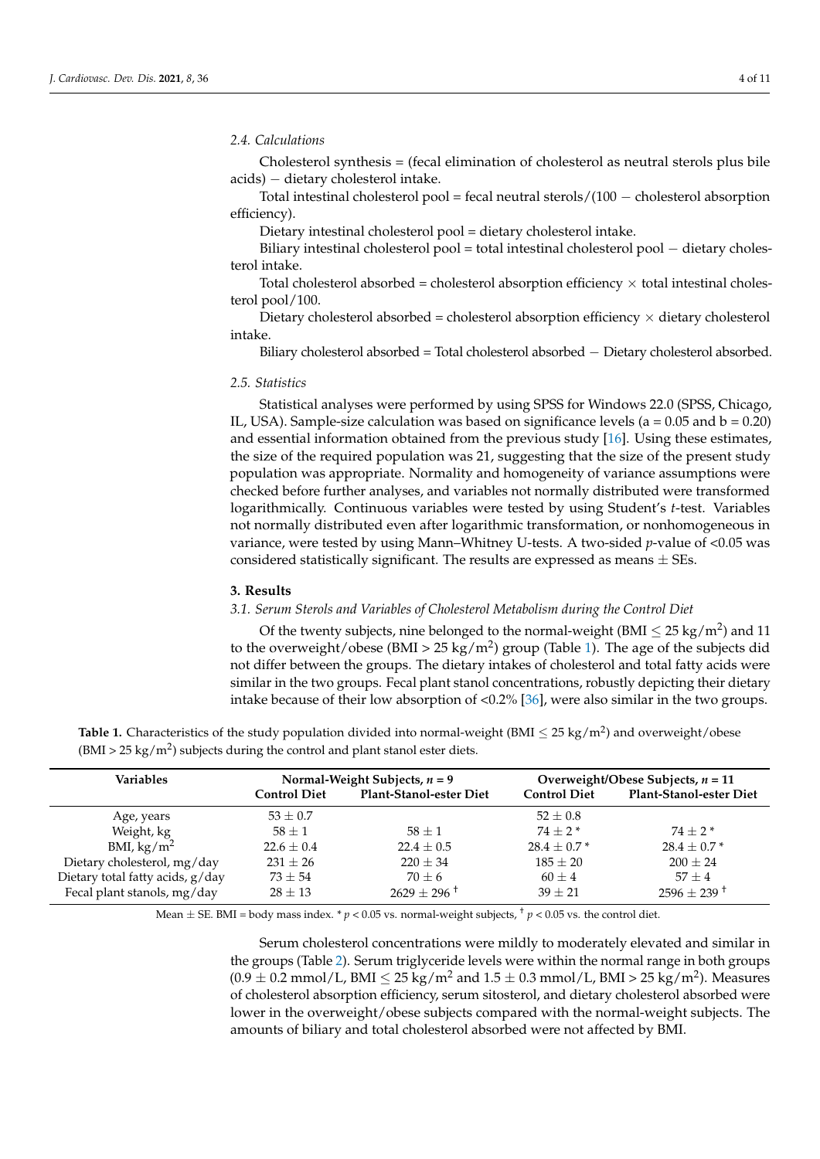#### *2.4. Calculations*

Cholesterol synthesis = (fecal elimination of cholesterol as neutral sterols plus bile acids) − dietary cholesterol intake.

Total intestinal cholesterol pool = fecal neutral sterols/(100 − cholesterol absorption efficiency).

Dietary intestinal cholesterol pool = dietary cholesterol intake.

Biliary intestinal cholesterol pool = total intestinal cholesterol pool − dietary cholesterol intake.

Total cholesterol absorbed = cholesterol absorption efficiency  $\times$  total intestinal cholesterol pool/100.

Dietary cholesterol absorbed = cholesterol absorption efficiency  $\times$  dietary cholesterol intake.

Biliary cholesterol absorbed = Total cholesterol absorbed − Dietary cholesterol absorbed.

# *2.5. Statistics*

Statistical analyses were performed by using SPSS for Windows 22.0 (SPSS, Chicago, IL, USA). Sample-size calculation was based on significance levels ( $a = 0.05$  and  $b = 0.20$ ) and essential information obtained from the previous study [\[16\]](#page-9-2). Using these estimates, the size of the required population was 21, suggesting that the size of the present study population was appropriate. Normality and homogeneity of variance assumptions were checked before further analyses, and variables not normally distributed were transformed logarithmically. Continuous variables were tested by using Student's *t*-test. Variables not normally distributed even after logarithmic transformation, or nonhomogeneous in variance, were tested by using Mann–Whitney U-tests. A two-sided *p*-value of <0.05 was considered statistically significant. The results are expressed as means  $\pm$  SEs.

#### **3. Results**

## *3.1. Serum Sterols and Variables of Cholesterol Metabolism during the Control Diet*

Of the twenty subjects, nine belonged to the normal-weight (BMI  $\leq$  25 kg/m<sup>2</sup>) and 11 to the overweight/obese (BMI > 25 kg/m<sup>2</sup>) group (Table [1\)](#page-3-0). The age of the subjects did not differ between the groups. The dietary intakes of cholesterol and total fatty acids were similar in the two groups. Fecal plant stanol concentrations, robustly depicting their dietary intake because of their low absorption of <0.2% [\[36\]](#page-9-17), were also similar in the two groups.

<span id="page-3-0"></span>

|                                                                                       | <b>Table 1.</b> Characteristics of the study population divided into normal-weight (BMI $\leq$ 25 kg/m <sup>2</sup> ) and overweight/obese |
|---------------------------------------------------------------------------------------|--------------------------------------------------------------------------------------------------------------------------------------------|
| $(BMI > 25 \text{ kg/m}^2)$ subjects during the control and plant stanol ester diets. |                                                                                                                                            |

| <b>Variables</b>                 | Normal-Weight Subjects, $n = 9$ |                                | Overweight/Obese Subjects, $n = 11$ |                                |
|----------------------------------|---------------------------------|--------------------------------|-------------------------------------|--------------------------------|
|                                  | <b>Control Diet</b>             | <b>Plant-Stanol-ester Diet</b> | <b>Control Diet</b>                 | <b>Plant-Stanol-ester Diet</b> |
| Age, years                       | $53 \pm 0.7$                    |                                | $52 \pm 0.8$                        |                                |
| Weight, kg                       | $58 \pm 1$                      | $58 + 1$                       | $74 + 2*$                           | $74 + 2*$                      |
| BMI, $\text{kg/m}^2$             | $22.6 \pm 0.4$                  | $22.4 \pm 0.5$                 | $28.4 \pm 0.7*$                     | $28.4 \pm 0.7*$                |
| Dietary cholesterol, mg/day      | $231 \pm 26$                    | $220 \pm 34$                   | $185 + 20$                          | $200 + 24$                     |
| Dietary total fatty acids, g/day | $73 + 54$                       | $70 + 6$                       | $60 \pm 4$                          | $57 \pm 4$                     |
| Fecal plant stanols, mg/day      | $28 + 13$                       | $2629 + 296$ <sup>+</sup>      | $39 + 21$                           | $2596 \pm 239$ <sup>+</sup>    |

Mean  $\pm$  SE. BMI = body mass index. \* *p* < 0.05 vs. normal-weight subjects, <sup>+</sup> *p* < 0.05 vs. the control diet.

Serum cholesterol concentrations were mildly to moderately elevated and similar in the groups (Table [2\)](#page-4-0). Serum triglyceride levels were within the normal range in both groups  $(0.9 \pm 0.2 \text{ mmol/L, BMI} \leq 25 \text{ kg/m}^2$  and  $1.5 \pm 0.3 \text{ mmol/L, BMI} > 25 \text{ kg/m}^2$ ). Measures of cholesterol absorption efficiency, serum sitosterol, and dietary cholesterol absorbed were lower in the overweight/obese subjects compared with the normal-weight subjects. The amounts of biliary and total cholesterol absorbed were not affected by BMI.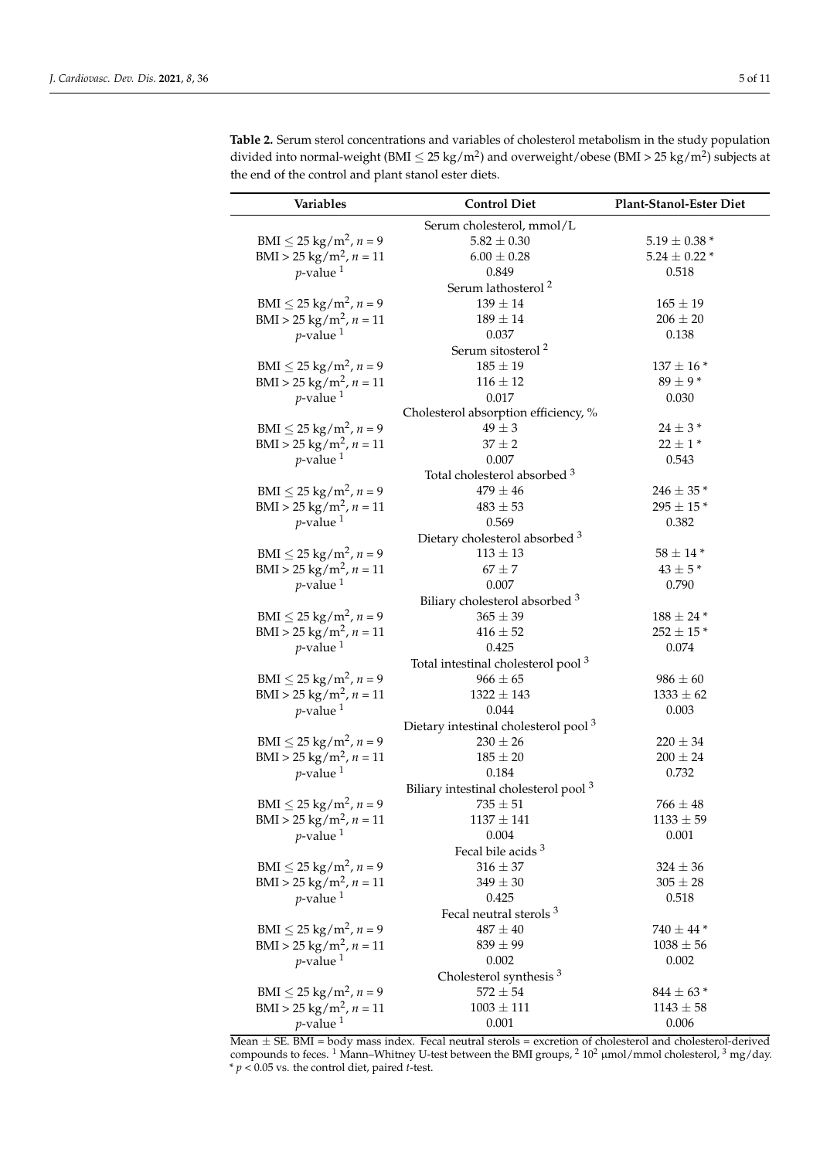| Variables                               | <b>Control Diet</b>                              | Plant-Stanol-Ester Diet |
|-----------------------------------------|--------------------------------------------------|-------------------------|
|                                         | Serum cholesterol, mmol/L                        |                         |
| BMI $\leq$ 25 kg/m <sup>2</sup> , n = 9 | $5.82 \pm 0.30$                                  | $5.19 \pm 0.38$ *       |
| BMI > 25 kg/m <sup>2</sup> , $n = 11$   | $6.00 \pm 0.28$                                  | $5.24 \pm 0.22$ *       |
| $p$ -value <sup>1</sup>                 | 0.849                                            | 0.518                   |
|                                         | Serum lathosterol <sup>2</sup>                   |                         |
| BMI $\leq$ 25 kg/m <sup>2</sup> , n = 9 | $139 \pm 14$                                     | $165 \pm 19$            |
| BMI > 25 kg/m <sup>2</sup> , $n = 11$   | $189 \pm 14$                                     | $206 \pm 20$            |
| $p$ -value <sup>1</sup>                 | 0.037                                            | 0.138                   |
|                                         | Serum sitosterol <sup>2</sup>                    |                         |
| BMI $\leq$ 25 kg/m <sup>2</sup> , n = 9 | $185 \pm 19$                                     | $137 \pm 16$ *          |
| BMI > 25 kg/m <sup>2</sup> , $n = 11$   | $116 \pm 12$                                     | $89 \pm 9*$             |
| $p$ -value <sup>1</sup>                 | 0.017                                            | 0.030                   |
|                                         | Cholesterol absorption efficiency, %             |                         |
| BMI $\leq$ 25 kg/m <sup>2</sup> , n = 9 | $49 \pm 3$                                       | $24\pm3$ *              |
| BMI > 25 kg/m <sup>2</sup> , $n = 11$   | $37 \pm 2$                                       | $22 \pm 1*$             |
| $p$ -value <sup>1</sup>                 | 0.007                                            | 0.543                   |
|                                         | Total cholesterol absorbed <sup>3</sup>          |                         |
| BMI $\leq$ 25 kg/m <sup>2</sup> , n = 9 | $479 \pm 46$                                     | $246 \pm 35$ *          |
| BMI > 25 kg/m <sup>2</sup> , $n = 11$   | $483 \pm 53$                                     | $295\pm15$ *            |
| $p$ -value <sup>1</sup>                 | 0.569                                            | 0.382                   |
|                                         | Dietary cholesterol absorbed 3                   |                         |
| BMI $\leq$ 25 kg/m <sup>2</sup> , n = 9 | $113\pm13$                                       | $58\pm14$ *             |
| BMI > 25 kg/m <sup>2</sup> , $n = 11$   | $67 \pm 7$                                       | $43 \pm 5*$             |
| $p$ -value <sup>1</sup>                 | 0.007                                            | 0.790                   |
|                                         | Biliary cholesterol absorbed <sup>3</sup>        |                         |
| BMI $\leq$ 25 kg/m <sup>2</sup> , n = 9 | $365 \pm 39$                                     | $188 \pm 24$ *          |
| BMI > 25 kg/m <sup>2</sup> , $n = 11$   | $416 \pm 52$                                     | $252 \pm 15$ *          |
| $p$ -value <sup>1</sup>                 | 0.425                                            | 0.074                   |
|                                         | Total intestinal cholesterol pool <sup>3</sup>   |                         |
| BMI $\leq$ 25 kg/m <sup>2</sup> , n = 9 | $966 \pm 65$                                     | $986 \pm 60$            |
| BMI > 25 kg/m <sup>2</sup> , $n = 11$   | $1322 \pm 143$                                   | $1333 \pm 62$           |
| $p$ -value <sup>1</sup>                 | 0.044                                            | 0.003                   |
|                                         | Dietary intestinal cholesterol pool <sup>3</sup> |                         |
| BMI $\leq$ 25 kg/m <sup>2</sup> , n = 9 | $230 \pm 26$                                     | $220 \pm 34$            |
| $BMI > 25 \text{ kg/m}^2$ , $n = 11$    | $185\pm20$                                       | $200 \pm 24$            |
| $p$ -value <sup>1</sup>                 | 0.184                                            | 0.732                   |
|                                         | Biliary intestinal cholesterol pool <sup>3</sup> |                         |
| BMI $\leq$ 25 kg/m <sup>2</sup> , n = 9 | $735\pm51$                                       | $766\pm48$              |
| BMI > 25 kg/m <sup>2</sup> , $n = 11$   | $1137 \pm 141$                                   | $1133 \pm 59$           |
| $p$ -value <sup>1</sup>                 | 0.004                                            | 0.001                   |
|                                         | Fecal bile acids <sup>3</sup>                    |                         |
| BMI $\leq$ 25 kg/m <sup>2</sup> , n = 9 | $316 \pm 37$                                     | $324 \pm 36$            |
| BMI > 25 kg/m <sup>2</sup> , $n = 11$   | $349 \pm 30$                                     | $305\pm28$              |
| $p$ -value <sup>1</sup>                 | 0.425                                            | 0.518                   |
|                                         | Fecal neutral sterols <sup>3</sup>               |                         |
| BMI $\leq$ 25 kg/m <sup>2</sup> , n = 9 | $487 \pm 40$                                     | $740 \pm 44$ *          |
| BMI > 25 kg/m <sup>2</sup> , $n = 11$   | $839 \pm 99$                                     | $1038 \pm 56$           |
| $p$ -value <sup>1</sup>                 | 0.002                                            | 0.002                   |
|                                         | Cholesterol synthesis <sup>3</sup>               |                         |
| BMI $\leq$ 25 kg/m <sup>2</sup> , n = 9 | $572\pm54$                                       | $844 \pm 63$ *          |
| BMI > 25 kg/m <sup>2</sup> , $n = 11$   | $1003 \pm 111$                                   | $1143 \pm 58$           |
| $p$ -value <sup>1</sup>                 | 0.001                                            | 0.006                   |

<span id="page-4-0"></span>**Table 2.** Serum sterol concentrations and variables of cholesterol metabolism in the study population divided into normal-weight (BMI  $\leq$  25 kg/m<sup>2</sup>) and overweight/obese (BMI > 25 kg/m<sup>2</sup>) subjects at the end of the control and plant stanol ester diets.

Mean  $\pm$  SE. BMI = body mass index. Fecal neutral sterols = excretion of cholesterol and cholesterol-derived compounds to feces. <sup>1</sup> Mann–Whitney U-test between the BMI groups,  $2\ 10^2$  µmol/mmol cholesterol,  $3\ mg$ /day. \* *p* < 0.05 vs. the control diet, paired *t*-test.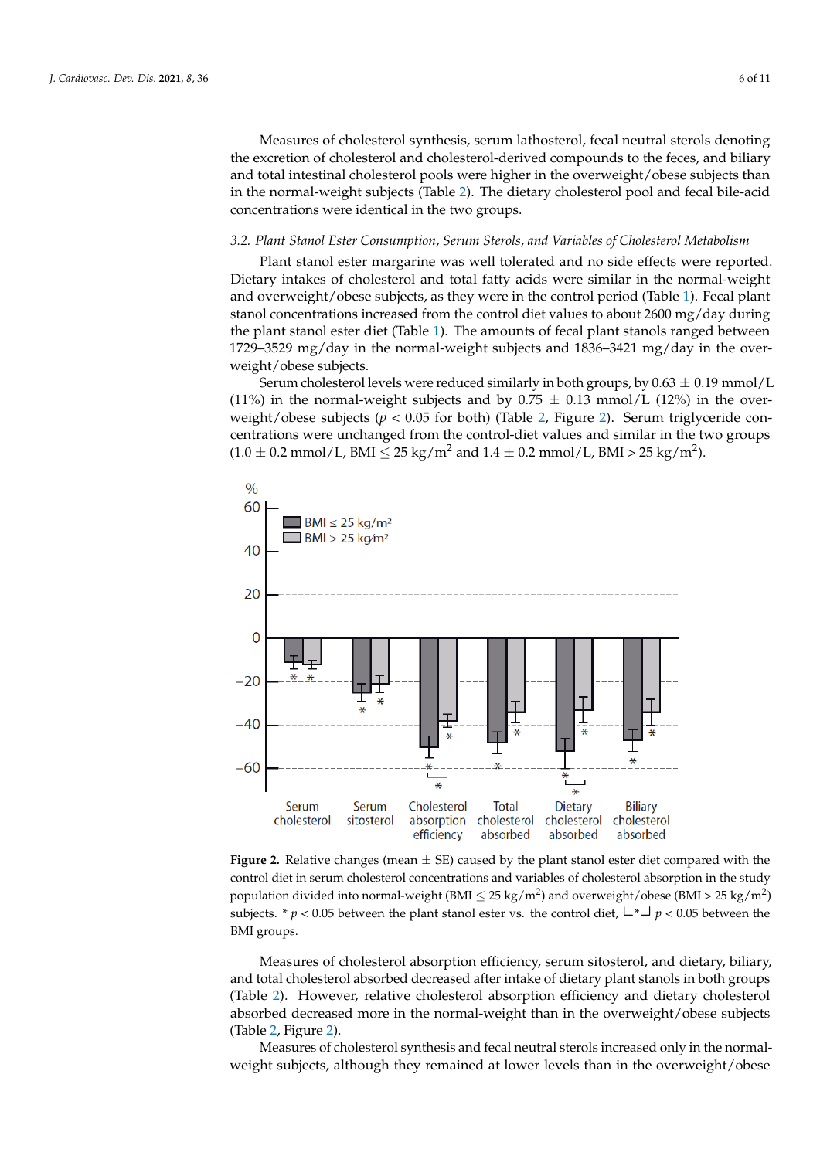Measures of cholesterol synthesis, serum lathosterol, fecal neutral sterols denoting the excretion of cholesterol and cholesterol-derived compounds to the feces, and biliary and total intestinal cholesterol pools were higher in the overweight/obese subjects than in the normal-weight subjects (Table [2\)](#page-4-0). The dietary cholesterol pool and fecal bile-acid concentrations were identical in the two groups.

# *3.2. Plant Stanol Ester Consumption, Serum Sterols, and Variables of Cholesterol Metabolism*

Plant stanol ester margarine was well tolerated and no side effects were reported. Dietary intakes of cholesterol and total fatty acids were similar in the normal-weight and overweight/obese subjects, as they were in the control period (Table [1\)](#page-3-0). Fecal plant stanol concentrations increased from the control diet values to about 2600 mg/day during the plant stanol ester diet (Table [1\)](#page-3-0). The amounts of fecal plant stanols ranged between 1729–3529 mg/day in the normal-weight subjects and 1836–3421 mg/day in the overweight/obese subjects.

Serum cholesterol levels were reduced similarly in both groups, by  $0.63 \pm 0.19$  mmol/L (11%) in the normal-weight subjects and by  $0.75 \pm 0.13$  mmol/L (12%) in the overweight/obese subjects ( $p < 0.05$  for both) (Table [2,](#page-4-0) Figure [2\)](#page-5-0). Serum triglyceride concentrations were unchanged from the control-diet values and similar in the two groups  $(1.0 \pm 0.2 \text{ mmol/L}, \text{BMI} \leq 25 \text{ kg/m}^2 \text{ and } 1.4 \pm 0.2 \text{ mmol/L}, \text{BMI} > 25 \text{ kg/m}^2).$ 

<span id="page-5-0"></span>

**Figure 2.** Relative changes (mean ± SE) caused by the plant stanol ester diet compared with the **Figure 2.** Relative changes (mean ± SE) caused by the plant stanol ester diet compared with the control diet in serum cholesterol concentrations and variables of cholesterol absorption in the study population divided into normal-weight (BMI  $\leq 25 \text{ kg/m}^2$ ) and overweight/obese (BMI > 25 kg/m<sup>2</sup>) subjects. \*  $p < 0.05$  between the plant stanol ester vs. the control diet,  $\Box$  +  $\Box$  p < 0.05 between the BMI groups.

Measures of cholesterol absorption efficiency, serum sitosterol, and dietary, biliary, and total cholesterol absorbed decreased after intake of dietary plant stanols in both groups (Table 2). However, relative cholesterol absorption efficiency and dietary cholesterol absorbed decreased more in the normal-weight than in the overweight/obese subjects (Table 2, Figure 2).

Measures of cholesterol synthesis and fecal neutral sterols increased only in the normalweight subjects, although they remained at lower levels than in the overweight/obese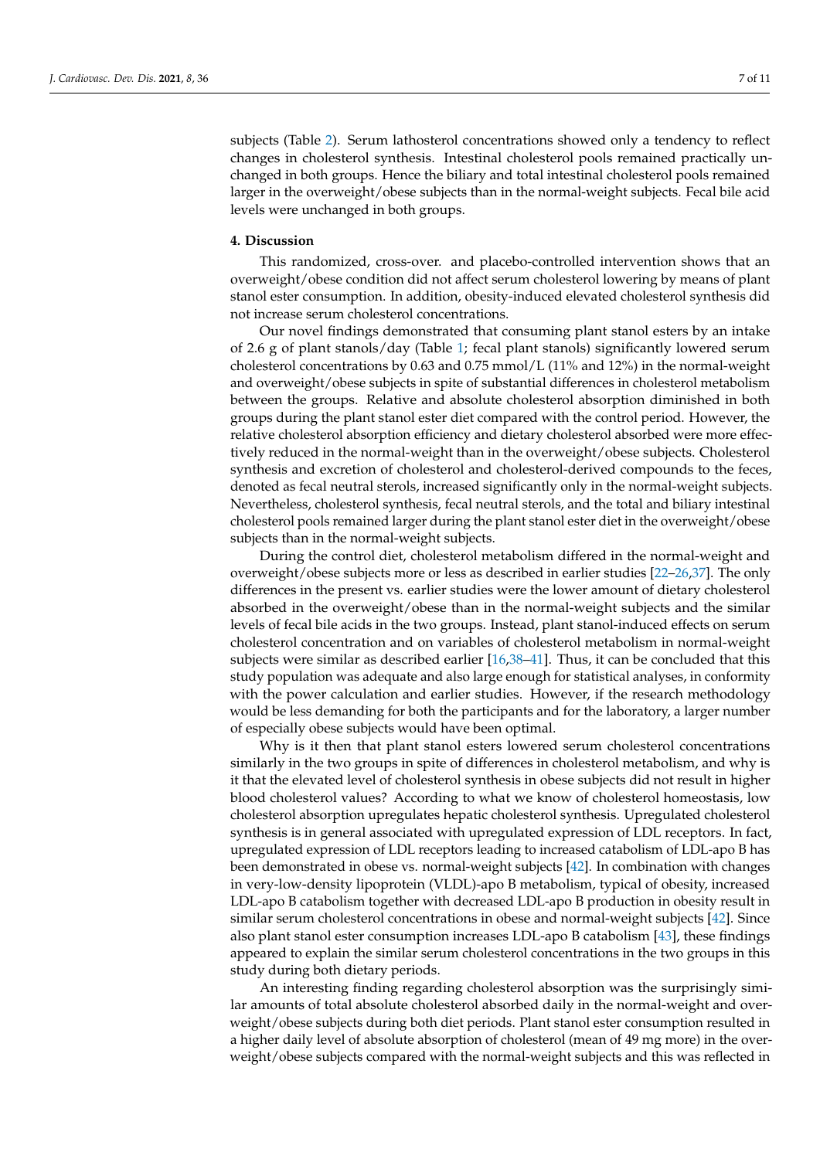subjects (Table [2\)](#page-4-0). Serum lathosterol concentrations showed only a tendency to reflect changes in cholesterol synthesis. Intestinal cholesterol pools remained practically unchanged in both groups. Hence the biliary and total intestinal cholesterol pools remained larger in the overweight/obese subjects than in the normal-weight subjects. Fecal bile acid levels were unchanged in both groups.

#### **4. Discussion**

This randomized, cross-over. and placebo-controlled intervention shows that an overweight/obese condition did not affect serum cholesterol lowering by means of plant stanol ester consumption. In addition, obesity-induced elevated cholesterol synthesis did not increase serum cholesterol concentrations.

Our novel findings demonstrated that consuming plant stanol esters by an intake of 2.6 g of plant stanols/day (Table [1;](#page-3-0) fecal plant stanols) significantly lowered serum cholesterol concentrations by 0.63 and 0.75 mmol/L (11% and 12%) in the normal-weight and overweight/obese subjects in spite of substantial differences in cholesterol metabolism between the groups. Relative and absolute cholesterol absorption diminished in both groups during the plant stanol ester diet compared with the control period. However, the relative cholesterol absorption efficiency and dietary cholesterol absorbed were more effectively reduced in the normal-weight than in the overweight/obese subjects. Cholesterol synthesis and excretion of cholesterol and cholesterol-derived compounds to the feces, denoted as fecal neutral sterols, increased significantly only in the normal-weight subjects. Nevertheless, cholesterol synthesis, fecal neutral sterols, and the total and biliary intestinal cholesterol pools remained larger during the plant stanol ester diet in the overweight/obese subjects than in the normal-weight subjects.

During the control diet, cholesterol metabolism differed in the normal-weight and overweight/obese subjects more or less as described in earlier studies [\[22](#page-9-8)[–26,](#page-9-9)[37\]](#page-9-18). The only differences in the present vs. earlier studies were the lower amount of dietary cholesterol absorbed in the overweight/obese than in the normal-weight subjects and the similar levels of fecal bile acids in the two groups. Instead, plant stanol-induced effects on serum cholesterol concentration and on variables of cholesterol metabolism in normal-weight subjects were similar as described earlier [\[16](#page-9-2)[,38–](#page-9-19)[41\]](#page-10-0). Thus, it can be concluded that this study population was adequate and also large enough for statistical analyses, in conformity with the power calculation and earlier studies. However, if the research methodology would be less demanding for both the participants and for the laboratory, a larger number of especially obese subjects would have been optimal.

Why is it then that plant stanol esters lowered serum cholesterol concentrations similarly in the two groups in spite of differences in cholesterol metabolism, and why is it that the elevated level of cholesterol synthesis in obese subjects did not result in higher blood cholesterol values? According to what we know of cholesterol homeostasis, low cholesterol absorption upregulates hepatic cholesterol synthesis. Upregulated cholesterol synthesis is in general associated with upregulated expression of LDL receptors. In fact, upregulated expression of LDL receptors leading to increased catabolism of LDL-apo B has been demonstrated in obese vs. normal-weight subjects [\[42\]](#page-10-1). In combination with changes in very-low-density lipoprotein (VLDL)-apo B metabolism, typical of obesity, increased LDL-apo B catabolism together with decreased LDL-apo B production in obesity result in similar serum cholesterol concentrations in obese and normal-weight subjects [\[42\]](#page-10-1). Since also plant stanol ester consumption increases LDL-apo B catabolism [\[43\]](#page-10-2), these findings appeared to explain the similar serum cholesterol concentrations in the two groups in this study during both dietary periods.

An interesting finding regarding cholesterol absorption was the surprisingly similar amounts of total absolute cholesterol absorbed daily in the normal-weight and overweight/obese subjects during both diet periods. Plant stanol ester consumption resulted in a higher daily level of absolute absorption of cholesterol (mean of 49 mg more) in the overweight/obese subjects compared with the normal-weight subjects and this was reflected in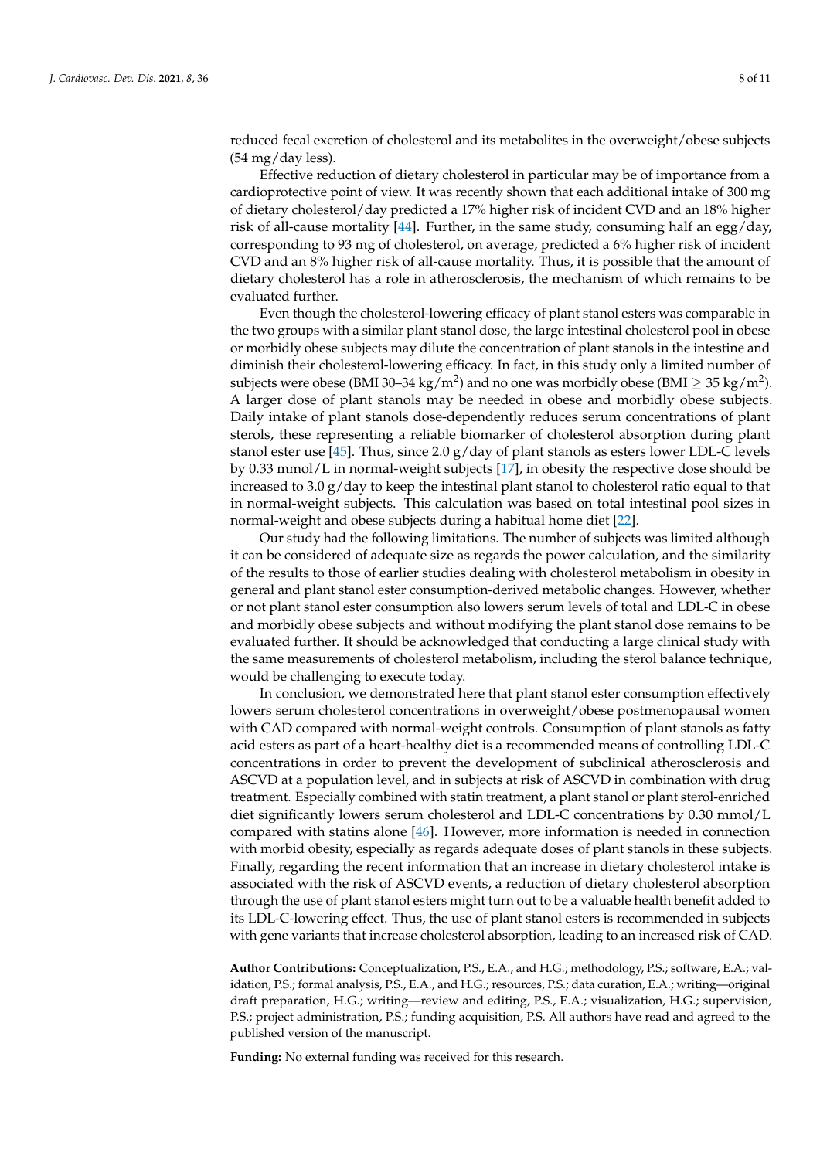reduced fecal excretion of cholesterol and its metabolites in the overweight/obese subjects (54 mg/day less).

Effective reduction of dietary cholesterol in particular may be of importance from a cardioprotective point of view. It was recently shown that each additional intake of 300 mg of dietary cholesterol/day predicted a 17% higher risk of incident CVD and an 18% higher risk of all-cause mortality [\[44\]](#page-10-3). Further, in the same study, consuming half an egg/day, corresponding to 93 mg of cholesterol, on average, predicted a 6% higher risk of incident CVD and an 8% higher risk of all-cause mortality. Thus, it is possible that the amount of dietary cholesterol has a role in atherosclerosis, the mechanism of which remains to be evaluated further.

Even though the cholesterol-lowering efficacy of plant stanol esters was comparable in the two groups with a similar plant stanol dose, the large intestinal cholesterol pool in obese or morbidly obese subjects may dilute the concentration of plant stanols in the intestine and diminish their cholesterol-lowering efficacy. In fact, in this study only a limited number of subjects were obese (BMI 30–34 kg/m<sup>2</sup>) and no one was morbidly obese (BMI  $\geq$  35 kg/m<sup>2</sup>). A larger dose of plant stanols may be needed in obese and morbidly obese subjects. Daily intake of plant stanols dose-dependently reduces serum concentrations of plant sterols, these representing a reliable biomarker of cholesterol absorption during plant stanol ester use [\[45\]](#page-10-4). Thus, since 2.0  $g/day$  of plant stanols as esters lower LDL-C levels by 0.33 mmol/L in normal-weight subjects [\[17\]](#page-9-3), in obesity the respective dose should be increased to 3.0 g/day to keep the intestinal plant stanol to cholesterol ratio equal to that in normal-weight subjects. This calculation was based on total intestinal pool sizes in normal-weight and obese subjects during a habitual home diet [\[22\]](#page-9-8).

Our study had the following limitations. The number of subjects was limited although it can be considered of adequate size as regards the power calculation, and the similarity of the results to those of earlier studies dealing with cholesterol metabolism in obesity in general and plant stanol ester consumption-derived metabolic changes. However, whether or not plant stanol ester consumption also lowers serum levels of total and LDL-C in obese and morbidly obese subjects and without modifying the plant stanol dose remains to be evaluated further. It should be acknowledged that conducting a large clinical study with the same measurements of cholesterol metabolism, including the sterol balance technique, would be challenging to execute today.

In conclusion, we demonstrated here that plant stanol ester consumption effectively lowers serum cholesterol concentrations in overweight/obese postmenopausal women with CAD compared with normal-weight controls. Consumption of plant stanols as fatty acid esters as part of a heart-healthy diet is a recommended means of controlling LDL-C concentrations in order to prevent the development of subclinical atherosclerosis and ASCVD at a population level, and in subjects at risk of ASCVD in combination with drug treatment. Especially combined with statin treatment, a plant stanol or plant sterol-enriched diet significantly lowers serum cholesterol and LDL-C concentrations by 0.30 mmol/L compared with statins alone [\[46\]](#page-10-5). However, more information is needed in connection with morbid obesity, especially as regards adequate doses of plant stanols in these subjects. Finally, regarding the recent information that an increase in dietary cholesterol intake is associated with the risk of ASCVD events, a reduction of dietary cholesterol absorption through the use of plant stanol esters might turn out to be a valuable health benefit added to its LDL-C-lowering effect. Thus, the use of plant stanol esters is recommended in subjects with gene variants that increase cholesterol absorption, leading to an increased risk of CAD.

**Author Contributions:** Conceptualization, P.S., E.A., and H.G.; methodology, P.S.; software, E.A.; validation, P.S.; formal analysis, P.S., E.A., and H.G.; resources, P.S.; data curation, E.A.; writing—original draft preparation, H.G.; writing—review and editing, P.S., E.A.; visualization, H.G.; supervision, P.S.; project administration, P.S.; funding acquisition, P.S. All authors have read and agreed to the published version of the manuscript.

**Funding:** No external funding was received for this research.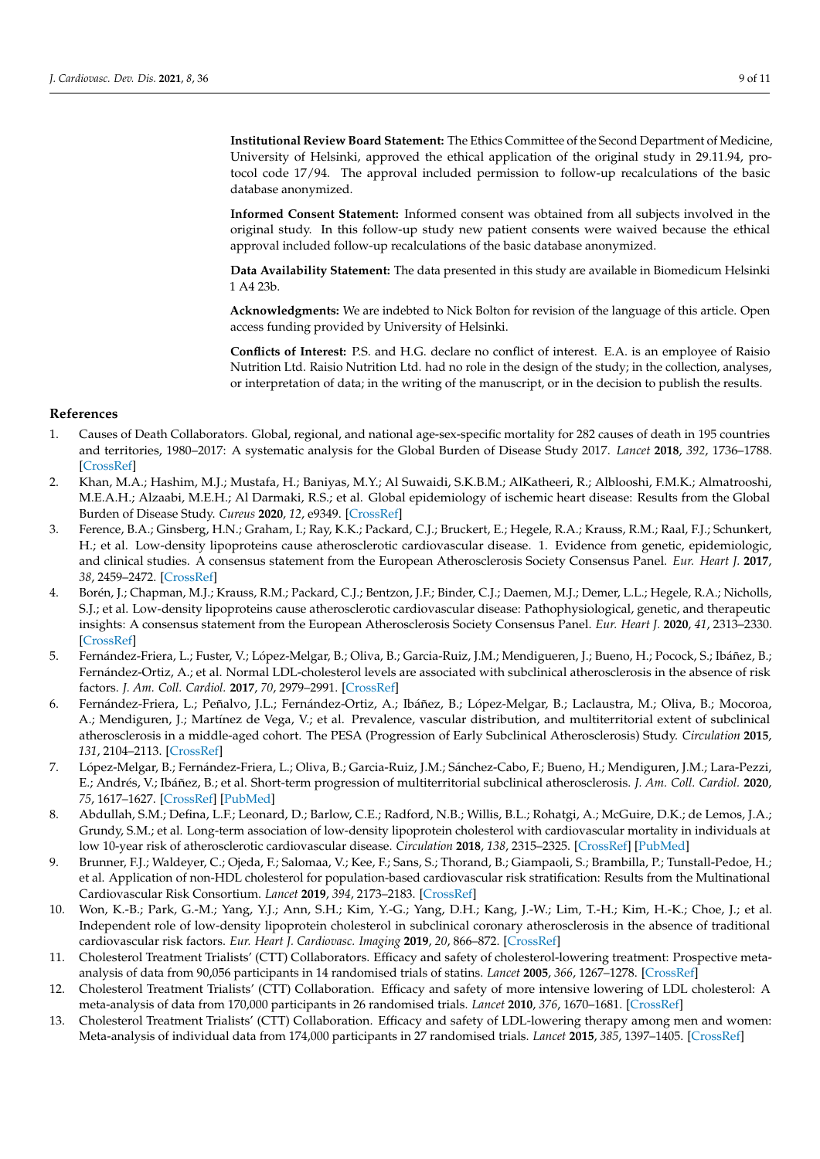**Institutional Review Board Statement:** The Ethics Committee of the Second Department of Medicine, University of Helsinki, approved the ethical application of the original study in 29.11.94, protocol code 17/94. The approval included permission to follow-up recalculations of the basic database anonymized.

**Informed Consent Statement:** Informed consent was obtained from all subjects involved in the original study. In this follow-up study new patient consents were waived because the ethical approval included follow-up recalculations of the basic database anonymized.

**Data Availability Statement:** The data presented in this study are available in Biomedicum Helsinki 1 A4 23b.

**Acknowledgments:** We are indebted to Nick Bolton for revision of the language of this article. Open access funding provided by University of Helsinki.

**Conflicts of Interest:** P.S. and H.G. declare no conflict of interest. E.A. is an employee of Raisio Nutrition Ltd. Raisio Nutrition Ltd. had no role in the design of the study; in the collection, analyses, or interpretation of data; in the writing of the manuscript, or in the decision to publish the results.

# **References**

- <span id="page-8-0"></span>1. Causes of Death Collaborators. Global, regional, and national age-sex-specific mortality for 282 causes of death in 195 countries and territories, 1980–2017: A systematic analysis for the Global Burden of Disease Study 2017. *Lancet* **2018**, *392*, 1736–1788. [\[CrossRef\]](http://doi.org/10.1016/S0140-6736(18)32203-7)
- <span id="page-8-1"></span>2. Khan, M.A.; Hashim, M.J.; Mustafa, H.; Baniyas, M.Y.; Al Suwaidi, S.K.B.M.; AlKatheeri, R.; Alblooshi, F.M.K.; Almatrooshi, M.E.A.H.; Alzaabi, M.E.H.; Al Darmaki, R.S.; et al. Global epidemiology of ischemic heart disease: Results from the Global Burden of Disease Study. *Cureus* **2020**, *12*, e9349. [\[CrossRef\]](http://doi.org/10.7759/cureus.9349)
- <span id="page-8-2"></span>3. Ference, B.A.; Ginsberg, H.N.; Graham, I.; Ray, K.K.; Packard, C.J.; Bruckert, E.; Hegele, R.A.; Krauss, R.M.; Raal, F.J.; Schunkert, H.; et al. Low-density lipoproteins cause atherosclerotic cardiovascular disease. 1. Evidence from genetic, epidemiologic, and clinical studies. A consensus statement from the European Atherosclerosis Society Consensus Panel. *Eur. Heart J.* **2017**, *38*, 2459–2472. [\[CrossRef\]](http://doi.org/10.1093/eurheartj/ehx144)
- <span id="page-8-3"></span>4. Borén, J.; Chapman, M.J.; Krauss, R.M.; Packard, C.J.; Bentzon, J.F.; Binder, C.J.; Daemen, M.J.; Demer, L.L.; Hegele, R.A.; Nicholls, S.J.; et al. Low-density lipoproteins cause atherosclerotic cardiovascular disease: Pathophysiological, genetic, and therapeutic insights: A consensus statement from the European Atherosclerosis Society Consensus Panel. *Eur. Heart J.* **2020**, *41*, 2313–2330. [\[CrossRef\]](http://doi.org/10.1093/eurheartj/ehz962)
- <span id="page-8-4"></span>5. Fernández-Friera, L.; Fuster, V.; López-Melgar, B.; Oliva, B.; Garcia-Ruiz, J.M.; Mendigueren, J.; Bueno, H.; Pocock, S.; Ibáñez, B.; Fernández-Ortiz, A.; et al. Normal LDL-cholesterol levels are associated with subclinical atherosclerosis in the absence of risk factors. *J. Am. Coll. Cardiol.* **2017**, *70*, 2979–2991. [\[CrossRef\]](http://doi.org/10.1016/j.jacc.2017.10.024)
- 6. Fernández-Friera, L.; Peñalvo, J.L.; Fernández-Ortiz, A.; Ibáñez, B.; López-Melgar, B.; Laclaustra, M.; Oliva, B.; Mocoroa, A.; Mendiguren, J.; Martínez de Vega, V.; et al. Prevalence, vascular distribution, and multiterritorial extent of subclinical atherosclerosis in a middle-aged cohort. The PESA (Progression of Early Subclinical Atherosclerosis) Study. *Circulation* **2015**, *131*, 2104–2113. [\[CrossRef\]](http://doi.org/10.1161/CIRCULATIONAHA.114.014310)
- 7. López-Melgar, B.; Fernández-Friera, L.; Oliva, B.; Garcia-Ruiz, J.M.; Sánchez-Cabo, F.; Bueno, H.; Mendiguren, J.M.; Lara-Pezzi, E.; Andrés, V.; Ibáñez, B.; et al. Short-term progression of multiterritorial subclinical atherosclerosis. *J. Am. Coll. Cardiol.* **2020**, *75*, 1617–1627. [\[CrossRef\]](http://doi.org/10.1016/j.jacc.2020.02.026) [\[PubMed\]](http://www.ncbi.nlm.nih.gov/pubmed/32273027)
- 8. Abdullah, S.M.; Defina, L.F.; Leonard, D.; Barlow, C.E.; Radford, N.B.; Willis, B.L.; Rohatgi, A.; McGuire, D.K.; de Lemos, J.A.; Grundy, S.M.; et al. Long-term association of low-density lipoprotein cholesterol with cardiovascular mortality in individuals at low 10-year risk of atherosclerotic cardiovascular disease. *Circulation* **2018**, *138*, 2315–2325. [\[CrossRef\]](http://doi.org/10.1161/CIRCULATIONAHA.118.034273) [\[PubMed\]](http://www.ncbi.nlm.nih.gov/pubmed/30571575)
- <span id="page-8-6"></span>9. Brunner, F.J.; Waldeyer, C.; Ojeda, F.; Salomaa, V.; Kee, F.; Sans, S.; Thorand, B.; Giampaoli, S.; Brambilla, P.; Tunstall-Pedoe, H.; et al. Application of non-HDL cholesterol for population-based cardiovascular risk stratification: Results from the Multinational Cardiovascular Risk Consortium. *Lancet* **2019**, *394*, 2173–2183. [\[CrossRef\]](http://doi.org/10.1016/S0140-6736(19)32519-X)
- <span id="page-8-5"></span>10. Won, K.-B.; Park, G.-M.; Yang, Y.J.; Ann, S.H.; Kim, Y.-G.; Yang, D.H.; Kang, J.-W.; Lim, T.-H.; Kim, H.-K.; Choe, J.; et al. Independent role of low-density lipoprotein cholesterol in subclinical coronary atherosclerosis in the absence of traditional cardiovascular risk factors. *Eur. Heart J. Cardiovasc. Imaging* **2019**, *20*, 866–872. [\[CrossRef\]](http://doi.org/10.1093/ehjci/jez091)
- <span id="page-8-7"></span>11. Cholesterol Treatment Trialists' (CTT) Collaborators. Efficacy and safety of cholesterol-lowering treatment: Prospective metaanalysis of data from 90,056 participants in 14 randomised trials of statins. *Lancet* **2005**, *366*, 1267–1278. [\[CrossRef\]](http://doi.org/10.1016/S0140-6736(05)67394-1)
- 12. Cholesterol Treatment Trialists' (CTT) Collaboration. Efficacy and safety of more intensive lowering of LDL cholesterol: A meta-analysis of data from 170,000 participants in 26 randomised trials. *Lancet* **2010**, *376*, 1670–1681. [\[CrossRef\]](http://doi.org/10.1016/S0140-6736(10)61350-5)
- 13. Cholesterol Treatment Trialists' (CTT) Collaboration. Efficacy and safety of LDL-lowering therapy among men and women: Meta-analysis of individual data from 174,000 participants in 27 randomised trials. *Lancet* **2015**, *385*, 1397–1405. [\[CrossRef\]](http://doi.org/10.1016/S0140-6736(14)61368-4)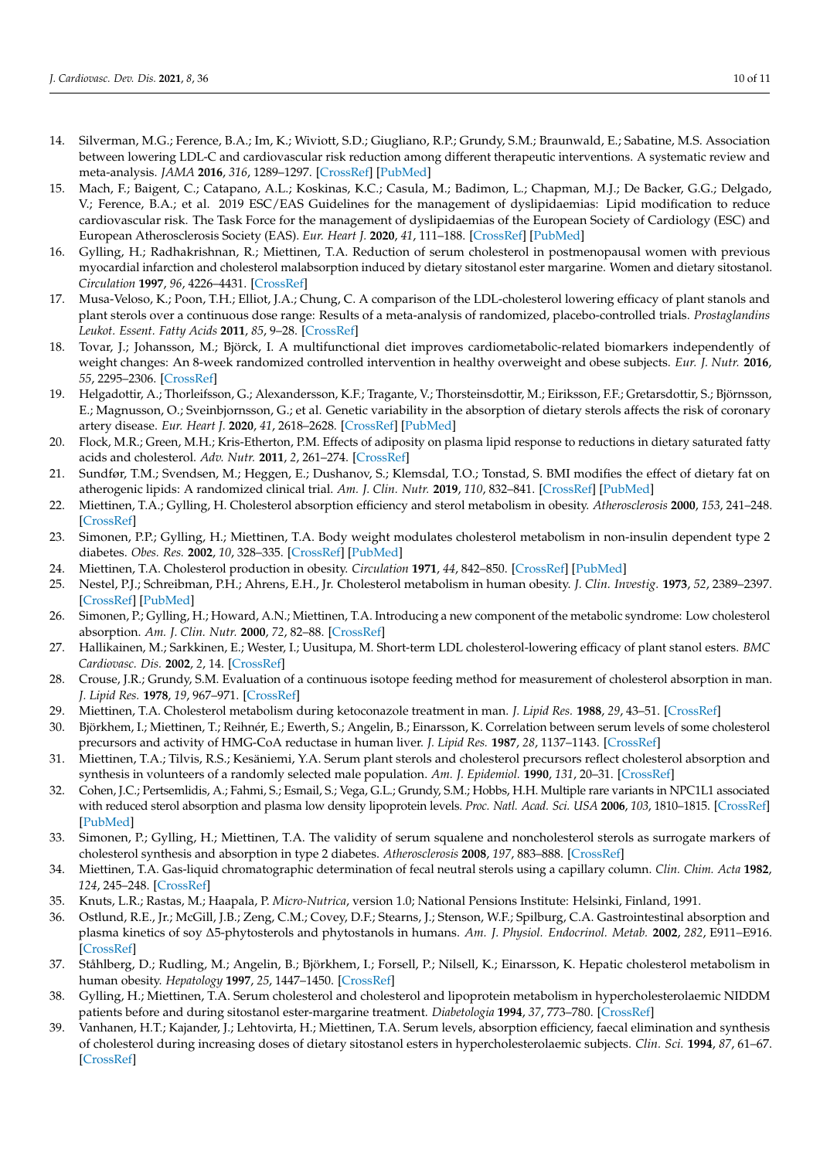- <span id="page-9-0"></span>14. Silverman, M.G.; Ference, B.A.; Im, K.; Wiviott, S.D.; Giugliano, R.P.; Grundy, S.M.; Braunwald, E.; Sabatine, M.S. Association between lowering LDL-C and cardiovascular risk reduction among different therapeutic interventions. A systematic review and meta-analysis. *JAMA* **2016**, *316*, 1289–1297. [\[CrossRef\]](http://doi.org/10.1001/jama.2016.13985) [\[PubMed\]](http://www.ncbi.nlm.nih.gov/pubmed/27673306)
- <span id="page-9-1"></span>15. Mach, F.; Baigent, C.; Catapano, A.L.; Koskinas, K.C.; Casula, M.; Badimon, L.; Chapman, M.J.; De Backer, G.G.; Delgado, V.; Ference, B.A.; et al. 2019 ESC/EAS Guidelines for the management of dyslipidaemias: Lipid modification to reduce cardiovascular risk. The Task Force for the management of dyslipidaemias of the European Society of Cardiology (ESC) and European Atherosclerosis Society (EAS). *Eur. Heart J.* **2020**, *41*, 111–188. [\[CrossRef\]](http://doi.org/10.1093/eurheartj/ehz455) [\[PubMed\]](http://www.ncbi.nlm.nih.gov/pubmed/31504418)
- <span id="page-9-2"></span>16. Gylling, H.; Radhakrishnan, R.; Miettinen, T.A. Reduction of serum cholesterol in postmenopausal women with previous myocardial infarction and cholesterol malabsorption induced by dietary sitostanol ester margarine. Women and dietary sitostanol. *Circulation* **1997**, *96*, 4226–4431. [\[CrossRef\]](http://doi.org/10.1161/01.CIR.96.12.4226)
- <span id="page-9-3"></span>17. Musa-Veloso, K.; Poon, T.H.; Elliot, J.A.; Chung, C. A comparison of the LDL-cholesterol lowering efficacy of plant stanols and plant sterols over a continuous dose range: Results of a meta-analysis of randomized, placebo-controlled trials. *Prostaglandins Leukot. Essent. Fatty Acids* **2011**, *85*, 9–28. [\[CrossRef\]](http://doi.org/10.1016/j.plefa.2011.02.001)
- <span id="page-9-4"></span>18. Tovar, J.; Johansson, M.; Björck, I. A multifunctional diet improves cardiometabolic-related biomarkers independently of weight changes: An 8-week randomized controlled intervention in healthy overweight and obese subjects. *Eur. J. Nutr.* **2016**, *55*, 2295–2306. [\[CrossRef\]](http://doi.org/10.1007/s00394-015-1039-2)
- <span id="page-9-5"></span>19. Helgadottir, A.; Thorleifsson, G.; Alexandersson, K.F.; Tragante, V.; Thorsteinsdottir, M.; Eiriksson, F.F.; Gretarsdottir, S.; Björnsson, E.; Magnusson, O.; Sveinbjornsson, G.; et al. Genetic variability in the absorption of dietary sterols affects the risk of coronary artery disease. *Eur. Heart J.* **2020**, *41*, 2618–2628. [\[CrossRef\]](http://doi.org/10.1093/eurheartj/ehaa531) [\[PubMed\]](http://www.ncbi.nlm.nih.gov/pubmed/32702746)
- <span id="page-9-6"></span>20. Flock, M.R.; Green, M.H.; Kris-Etherton, P.M. Effects of adiposity on plasma lipid response to reductions in dietary saturated fatty acids and cholesterol. *Adv. Nutr.* **2011**, *2*, 261–274. [\[CrossRef\]](http://doi.org/10.3945/an.111.000422)
- <span id="page-9-7"></span>21. Sundfør, T.M.; Svendsen, M.; Heggen, E.; Dushanov, S.; Klemsdal, T.O.; Tonstad, S. BMI modifies the effect of dietary fat on atherogenic lipids: A randomized clinical trial. *Am. J. Clin. Nutr.* **2019**, *110*, 832–841. [\[CrossRef\]](http://doi.org/10.1093/ajcn/nqz113) [\[PubMed\]](http://www.ncbi.nlm.nih.gov/pubmed/31216575)
- <span id="page-9-8"></span>22. Miettinen, T.A.; Gylling, H. Cholesterol absorption efficiency and sterol metabolism in obesity. *Atherosclerosis* **2000**, *153*, 241–248. [\[CrossRef\]](http://doi.org/10.1016/S0021-9150(00)00404-4)
- 23. Simonen, P.P.; Gylling, H.; Miettinen, T.A. Body weight modulates cholesterol metabolism in non-insulin dependent type 2 diabetes. *Obes. Res.* **2002**, *10*, 328–335. [\[CrossRef\]](http://doi.org/10.1038/oby.2002.46) [\[PubMed\]](http://www.ncbi.nlm.nih.gov/pubmed/12006631)
- 24. Miettinen, T.A. Cholesterol production in obesity. *Circulation* **1971**, *44*, 842–850. [\[CrossRef\]](http://doi.org/10.1161/01.CIR.44.5.842) [\[PubMed\]](http://www.ncbi.nlm.nih.gov/pubmed/5115077)
- 25. Nestel, P.J.; Schreibman, P.H.; Ahrens, E.H., Jr. Cholesterol metabolism in human obesity. *J. Clin. Investig.* **1973**, *52*, 2389–2397. [\[CrossRef\]](http://doi.org/10.1172/JCI107428) [\[PubMed\]](http://www.ncbi.nlm.nih.gov/pubmed/4729038)
- <span id="page-9-9"></span>26. Simonen, P.; Gylling, H.; Howard, A.N.; Miettinen, T.A. Introducing a new component of the metabolic syndrome: Low cholesterol absorption. *Am. J. Clin. Nutr.* **2000**, *72*, 82–88. [\[CrossRef\]](http://doi.org/10.1093/ajcn/72.1.82)
- <span id="page-9-10"></span>27. Hallikainen, M.; Sarkkinen, E.; Wester, I.; Uusitupa, M. Short-term LDL cholesterol-lowering efficacy of plant stanol esters. *BMC Cardiovasc. Dis.* **2002**, *2*, 14. [\[CrossRef\]](http://doi.org/10.1186/1471-2261-2-14)
- <span id="page-9-11"></span>28. Crouse, J.R.; Grundy, S.M. Evaluation of a continuous isotope feeding method for measurement of cholesterol absorption in man. *J. Lipid Res.* **1978**, *19*, 967–971. [\[CrossRef\]](http://doi.org/10.1016/S0022-2275(20)40679-0)
- <span id="page-9-12"></span>29. Miettinen, T.A. Cholesterol metabolism during ketoconazole treatment in man. *J. Lipid Res.* **1988**, *29*, 43–51. [\[CrossRef\]](http://doi.org/10.1016/S0022-2275(20)38566-7)
- <span id="page-9-13"></span>30. Björkhem, I.; Miettinen, T.; Reihnér, E.; Ewerth, S.; Angelin, B.; Einarsson, K. Correlation between serum levels of some cholesterol precursors and activity of HMG-CoA reductase in human liver. *J. Lipid Res.* **1987**, *28*, 1137–1143. [\[CrossRef\]](http://doi.org/10.1016/S0022-2275(20)38603-X)
- 31. Miettinen, T.A.; Tilvis, R.S.; Kesäniemi, Y.A. Serum plant sterols and cholesterol precursors reflect cholesterol absorption and synthesis in volunteers of a randomly selected male population. *Am. J. Epidemiol.* **1990**, *131*, 20–31. [\[CrossRef\]](http://doi.org/10.1093/oxfordjournals.aje.a115479)
- 32. Cohen, J.C.; Pertsemlidis, A.; Fahmi, S.; Esmail, S.; Vega, G.L.; Grundy, S.M.; Hobbs, H.H. Multiple rare variants in NPC1L1 associated with reduced sterol absorption and plasma low density lipoprotein levels. *Proc. Natl. Acad. Sci. USA* **2006**, *103*, 1810–1815. [\[CrossRef\]](http://doi.org/10.1073/pnas.0508483103) [\[PubMed\]](http://www.ncbi.nlm.nih.gov/pubmed/16449388)
- <span id="page-9-14"></span>33. Simonen, P.; Gylling, H.; Miettinen, T.A. The validity of serum squalene and noncholesterol sterols as surrogate markers of cholesterol synthesis and absorption in type 2 diabetes. *Atherosclerosis* **2008**, *197*, 883–888. [\[CrossRef\]](http://doi.org/10.1016/j.atherosclerosis.2007.08.003)
- <span id="page-9-15"></span>34. Miettinen, T.A. Gas-liquid chromatographic determination of fecal neutral sterols using a capillary column. *Clin. Chim. Acta* **1982**, *124*, 245–248. [\[CrossRef\]](http://doi.org/10.1016/0009-8981(82)90393-X)
- <span id="page-9-16"></span>35. Knuts, L.R.; Rastas, M.; Haapala, P. *Micro-Nutrica*, version 1.0; National Pensions Institute: Helsinki, Finland, 1991.
- <span id="page-9-17"></span>36. Ostlund, R.E., Jr.; McGill, J.B.; Zeng, C.M.; Covey, D.F.; Stearns, J.; Stenson, W.F.; Spilburg, C.A. Gastrointestinal absorption and plasma kinetics of soy ∆5-phytosterols and phytostanols in humans. *Am. J. Physiol. Endocrinol. Metab.* **2002**, *282*, E911–E916. [\[CrossRef\]](http://doi.org/10.1152/ajpendo.00328.2001)
- <span id="page-9-18"></span>37. Ståhlberg, D.; Rudling, M.; Angelin, B.; Björkhem, I.; Forsell, P.; Nilsell, K.; Einarsson, K. Hepatic cholesterol metabolism in human obesity. *Hepatology* **1997**, *25*, 1447–1450. [\[CrossRef\]](http://doi.org/10.1002/hep.510250623)
- <span id="page-9-19"></span>38. Gylling, H.; Miettinen, T.A. Serum cholesterol and cholesterol and lipoprotein metabolism in hypercholesterolaemic NIDDM patients before and during sitostanol ester-margarine treatment. *Diabetologia* **1994**, *37*, 773–780. [\[CrossRef\]](http://doi.org/10.1007/BF00404334)
- 39. Vanhanen, H.T.; Kajander, J.; Lehtovirta, H.; Miettinen, T.A. Serum levels, absorption efficiency, faecal elimination and synthesis of cholesterol during increasing doses of dietary sitostanol esters in hypercholesterolaemic subjects. *Clin. Sci.* **1994**, *87*, 61–67. [\[CrossRef\]](http://doi.org/10.1042/cs0870061)